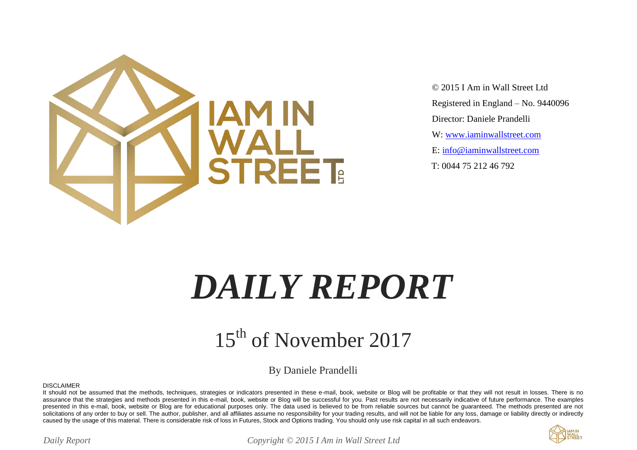

 © 2015 I Am in Wall Street Ltd Registered in England – No. 9440096 Director: Daniele Prandelli W: [www.iaminwallstreet.com](http://www.iaminwallstreet.com/) E: [info@iaminwallstreet.com](mailto:info@iaminwallstreet.com) T: 0044 75 212 46 792

# *DAILY REPORT*

#### 15<sup>th</sup> of November 2017

By Daniele Prandelli

DISCLAIMER

It should not be assumed that the methods, techniques, strategies or indicators presented in these e-mail, book, website or Blog will be profitable or that they will not result in losses. There is no assurance that the strategies and methods presented in this e-mail, book, website or Blog will be successful for you. Past results are not necessarily indicative of future performance. The examples presented in this e-mail, book, website or Blog are for educational purposes only. The data used is believed to be from reliable sources but cannot be quaranteed. The methods presented are not solicitations of any order to buy or sell. The author, publisher, and all affiliates assume no responsibility for your trading results, and will not be liable for any loss, damage or liability directly or indirectly caused by the usage of this material. There is considerable risk of loss in Futures, Stock and Options trading. You should only use risk capital in all such endeavors.



*Daily Report Copyright © 2015 I Am in Wall Street Ltd*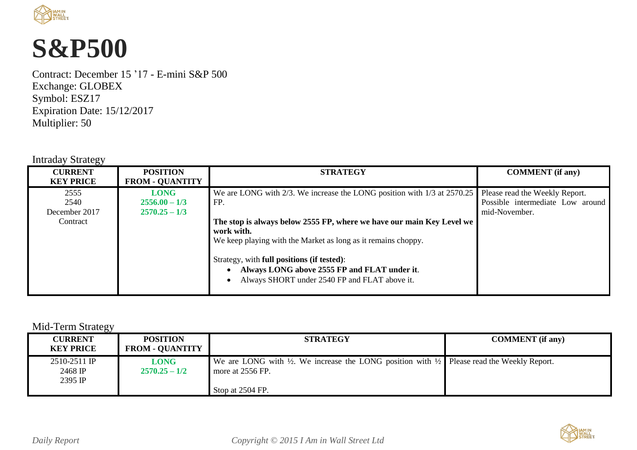

### **S&P500**

Contract: December 15 '17 - E-mini S&P 500 Exchange: GLOBEX Symbol: ESZ17 Expiration Date: 15/12/2017 Multiplier: 50

#### Intraday Strategy

| <b>POSITION</b><br><b>CURRENT</b><br><b>STRATEGY</b><br><b>FROM - QUANTITY</b><br><b>KEY PRICE</b>                                                                                                                                                                                                                                                                                                                                                                                      | <b>COMMENT</b> (if any)                                                             |
|-----------------------------------------------------------------------------------------------------------------------------------------------------------------------------------------------------------------------------------------------------------------------------------------------------------------------------------------------------------------------------------------------------------------------------------------------------------------------------------------|-------------------------------------------------------------------------------------|
| We are LONG with 2/3. We increase the LONG position with 1/3 at 2570.25<br>2555<br><b>LONG</b><br>2540<br>FP.<br>$2556.00 - 1/3$<br>December 2017<br>$2570.25 - 1/3$<br>The stop is always below 2555 FP, where we have our main Key Level we<br>Contract<br>work with.<br>We keep playing with the Market as long as it remains choppy.<br>Strategy, with full positions (if tested):<br>Always LONG above 2555 FP and FLAT under it.<br>Always SHORT under 2540 FP and FLAT above it. | Please read the Weekly Report.<br>Possible intermediate Low around<br>mid-November. |

#### Mid-Term Strategy

| <b>CURRENT</b><br><b>KEY PRICE</b>   | <b>POSITION</b><br><b>FROM - QUANTITY</b> | <b>STRATEGY</b>                                                                                                                      | <b>COMMENT</b> (if any) |
|--------------------------------------|-------------------------------------------|--------------------------------------------------------------------------------------------------------------------------------------|-------------------------|
| 2510-2511 IP<br>2468 IP<br>$2395$ IP | <b>LONG</b><br>$2570.25 - 1/2$            | We are LONG with $\frac{1}{2}$ . We increase the LONG position with $\frac{1}{2}$ Please read the Weekly Report.<br>more at 2556 FP. |                         |
|                                      |                                           | Stop at 2504 FP.                                                                                                                     |                         |

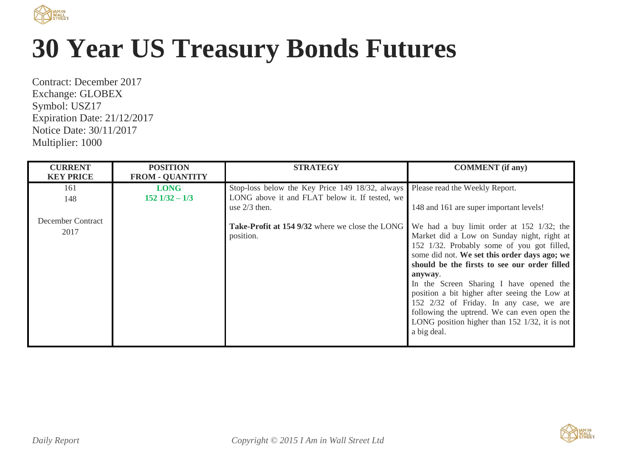

## **30 Year US Treasury Bonds Futures**

Contract: December 2017 Exchange: GLOBEX Symbol: USZ17 Expiration Date: 21/12/2017 Notice Date: 30/11/2017 Multiplier: 1000

| <b>CURRENT</b><br><b>KEY PRICE</b> | <b>POSITION</b><br><b>FROM - QUANTITY</b> | <b>STRATEGY</b>                                                     | <b>COMMENT</b> (if any)                                                                                                                                                                                                                                                                                                                                                                                                                                                                                           |
|------------------------------------|-------------------------------------------|---------------------------------------------------------------------|-------------------------------------------------------------------------------------------------------------------------------------------------------------------------------------------------------------------------------------------------------------------------------------------------------------------------------------------------------------------------------------------------------------------------------------------------------------------------------------------------------------------|
| 161                                | <b>LONG</b>                               | Stop-loss below the Key Price 149 18/32, always                     | Please read the Weekly Report.                                                                                                                                                                                                                                                                                                                                                                                                                                                                                    |
| 148                                | $152$ $1/32 - 1/3$                        | LONG above it and FLAT below it. If tested, we<br>use $2/3$ then.   | 148 and 161 are super important levels!                                                                                                                                                                                                                                                                                                                                                                                                                                                                           |
| December Contract<br>2017          |                                           | <b>Take-Profit at 154 9/32</b> where we close the LONG<br>position. | We had a buy limit order at 152 1/32; the<br>Market did a Low on Sunday night, right at<br>152 1/32. Probably some of you got filled,<br>some did not. We set this order days ago; we<br>should be the firsts to see our order filled<br>anyway.<br>In the Screen Sharing I have opened the<br>position a bit higher after seeing the Low at<br>152 2/32 of Friday. In any case, we are<br>following the uptrend. We can even open the<br>LONG position higher than $152 \frac{1}{32}$ , it is not<br>a big deal. |

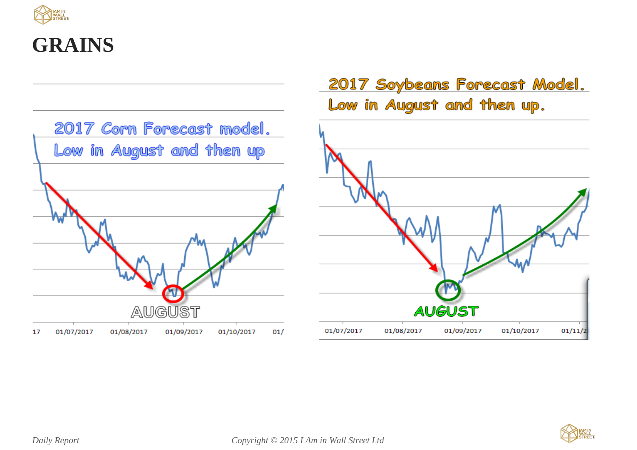

#### **GRAINS**



#### 2017 Soybeans Forecast Model. Low in August and then up.



 $01/11/2$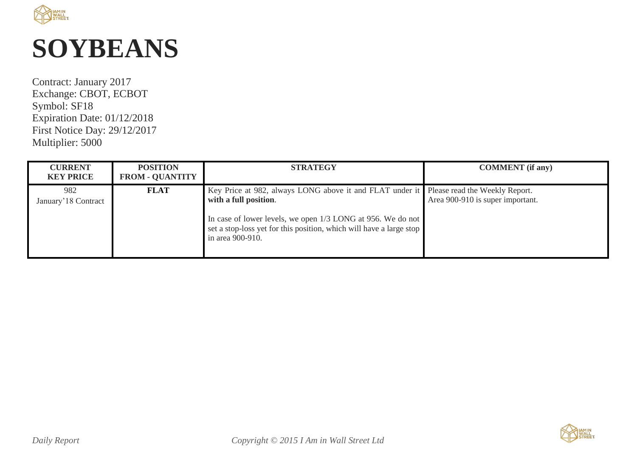

### **SOYBEANS**

Contract: January 2017 Exchange: CBOT, ECBOT Symbol: SF18 Expiration Date: 01/12/2018 First Notice Day: 29/12/2017 Multiplier: 5000

| <b>CURRENT</b><br><b>KEY PRICE</b> | <b>POSITION</b><br><b>FROM - QUANTITY</b> | <b>STRATEGY</b>                                                                                                                                                                                                                                                            | <b>COMMENT</b> (if any)          |
|------------------------------------|-------------------------------------------|----------------------------------------------------------------------------------------------------------------------------------------------------------------------------------------------------------------------------------------------------------------------------|----------------------------------|
| 982<br>January' 18 Contract        | <b>FLAT</b>                               | Key Price at 982, always LONG above it and FLAT under it Please read the Weekly Report.<br>with a full position.<br>In case of lower levels, we open 1/3 LONG at 956. We do not<br>set a stop-loss yet for this position, which will have a large stop<br>in area 900-910. | Area 900-910 is super important. |

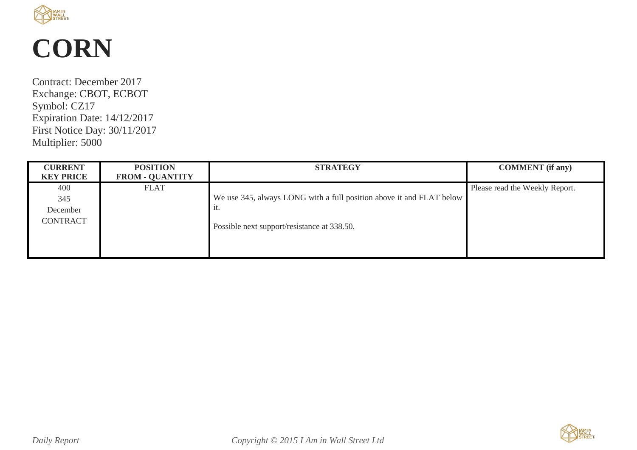

### **CORN**

Contract: December 2017 Exchange: CBOT, ECBOT Symbol: CZ17 Expiration Date: 14/12/2017 First Notice Day: 30/11/2017 Multiplier: 5000

| <b>CURRENT</b>                                         | <b>POSITION</b>        | <b>STRATEGY</b>                                                                                                            | <b>COMMENT</b> (if any)        |
|--------------------------------------------------------|------------------------|----------------------------------------------------------------------------------------------------------------------------|--------------------------------|
| <b>KEY PRICE</b>                                       | <b>FROM - QUANTITY</b> |                                                                                                                            |                                |
| $\overline{400}$<br>345<br>December<br><b>CONTRACT</b> | <b>FLAT</b>            | We use 345, always LONG with a full position above it and FLAT below<br>1t.<br>Possible next support/resistance at 338.50. | Please read the Weekly Report. |

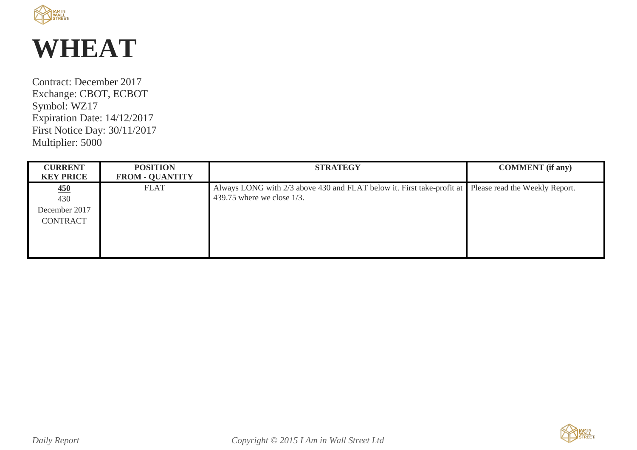

### **WHEAT**

Contract: December 2017 Exchange: CBOT, ECBOT Symbol: WZ17 Expiration Date: 14/12/2017 First Notice Day: 30/11/2017 Multiplier: 5000

| <b>CURRENT</b><br><b>KEY PRICE</b>             | <b>POSITION</b><br><b>FROM - QUANTITY</b> | <b>STRATEGY</b>                                                                                                                        | <b>COMMENT</b> (if any) |
|------------------------------------------------|-------------------------------------------|----------------------------------------------------------------------------------------------------------------------------------------|-------------------------|
| 450<br>430<br>December 2017<br><b>CONTRACT</b> | <b>FLAT</b>                               | Always LONG with 2/3 above 430 and FLAT below it. First take-profit at Please read the Weekly Report.<br>439.75 where we close $1/3$ . |                         |

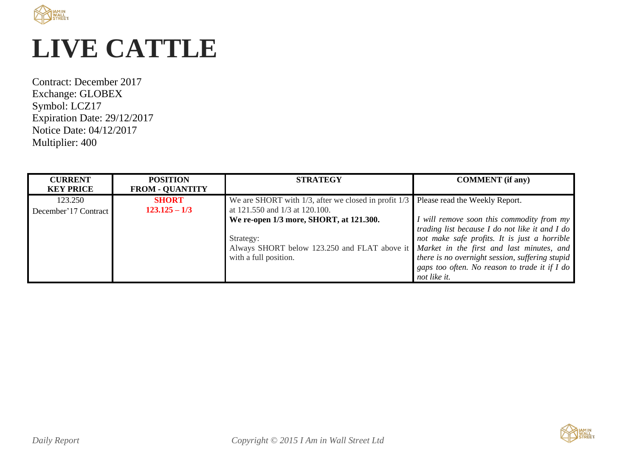

## **LIVE CATTLE**

Contract: December 2017 Exchange: GLOBEX Symbol: LCZ17 Expiration Date: 29/12/2017 Notice Date: 04/12/2017 Multiplier: 400

| <b>CURRENT</b><br><b>KEY PRICE</b> | <b>POSITION</b><br><b>FROM - QUANTITY</b> | <b>STRATEGY</b>                                                                                                                                                         | <b>COMMENT</b> (if any)                                                                                                                                                                                                                                         |
|------------------------------------|-------------------------------------------|-------------------------------------------------------------------------------------------------------------------------------------------------------------------------|-----------------------------------------------------------------------------------------------------------------------------------------------------------------------------------------------------------------------------------------------------------------|
| 123.250<br>December'17 Contract    | <b>SHORT</b><br>$123.125 - 1/3$           | We are SHORT with $1/3$ , after we closed in profit $1/3$<br>at 121.550 and 1/3 at 120.100.                                                                             | Please read the Weekly Report.                                                                                                                                                                                                                                  |
|                                    |                                           | We re-open 1/3 more, SHORT, at 121.300.<br>Strategy:<br>Always SHORT below 123.250 and FLAT above it Market in the first and last minutes, and<br>with a full position. | I will remove soon this commodity from my<br>trading list because I do not like it and I do<br>not make safe profits. It is just a horrible<br>there is no overnight session, suffering stupid<br>gaps too often. No reason to trade it if I do<br>not like it. |

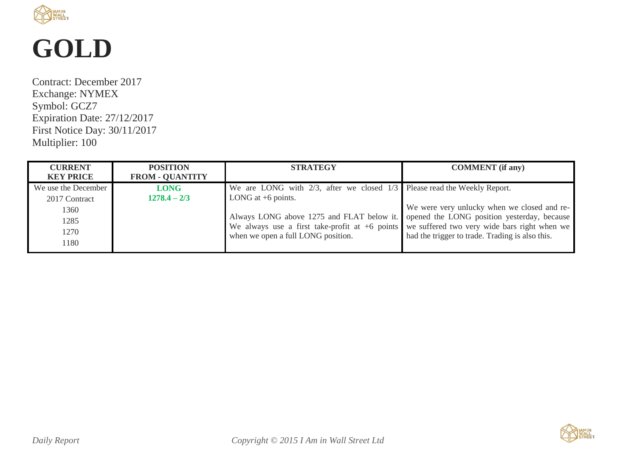

## **GOLD**

Contract: December 2017 Exchange: NYMEX Symbol: GCZ7 Expiration Date: 27/12/2017 First Notice Day: 30/11/2017 Multiplier: 100

| <b>CURRENT</b><br><b>KEY PRICE</b>   | <b>POSITION</b><br><b>FROM - QUANTITY</b> | <b>STRATEGY</b>                                                                                                                                                                        | <b>COMMENT</b> (if any)                         |
|--------------------------------------|-------------------------------------------|----------------------------------------------------------------------------------------------------------------------------------------------------------------------------------------|-------------------------------------------------|
| We use the December<br>2017 Contract | <b>LONG</b><br>$1278.4 - 2/3$             | We are LONG with $2/3$ , after we closed $1/3$ Please read the Weekly Report.<br>LONG at $+6$ points.                                                                                  |                                                 |
| 1360                                 |                                           |                                                                                                                                                                                        | We were very unlucky when we closed and re-     |
| 1285                                 |                                           | Always LONG above 1275 and FLAT below it. opened the LONG position yesterday, because<br>We always use a first take-profit at $+6$ points we suffered two very wide bars right when we |                                                 |
| 1270<br>1180                         |                                           | when we open a full LONG position.                                                                                                                                                     | had the trigger to trade. Trading is also this. |

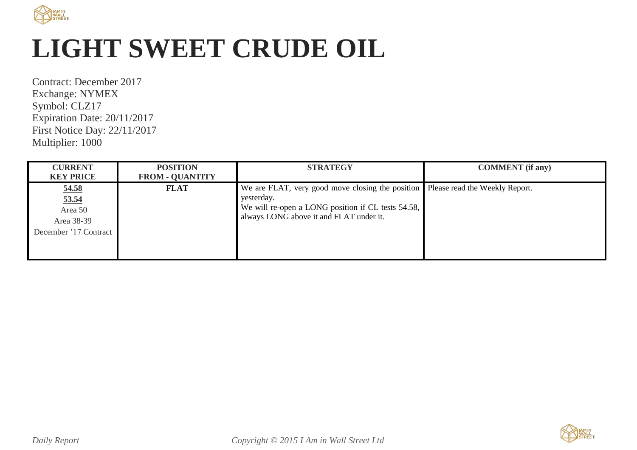

## **LIGHT SWEET CRUDE OIL**

Contract: December 2017 Exchange: NYMEX Symbol: CLZ17 Expiration Date: 20/11/2017 First Notice Day: 22/11/2017 Multiplier: 1000

| <b>CURRENT</b>                                                   | <b>POSITION</b>        | <b>STRATEGY</b>                                                                                                                                                                                | <b>COMMENT</b> (if any) |
|------------------------------------------------------------------|------------------------|------------------------------------------------------------------------------------------------------------------------------------------------------------------------------------------------|-------------------------|
| <b>KEY PRICE</b>                                                 | <b>FROM - QUANTITY</b> |                                                                                                                                                                                                |                         |
| 54.58<br>53.54<br>Area 50<br>Area 38-39<br>December '17 Contract | <b>FLAT</b>            | We are FLAT, very good move closing the position Please read the Weekly Report.<br>yesterday.<br>We will re-open a LONG position if CL tests 54.58,<br>always LONG above it and FLAT under it. |                         |